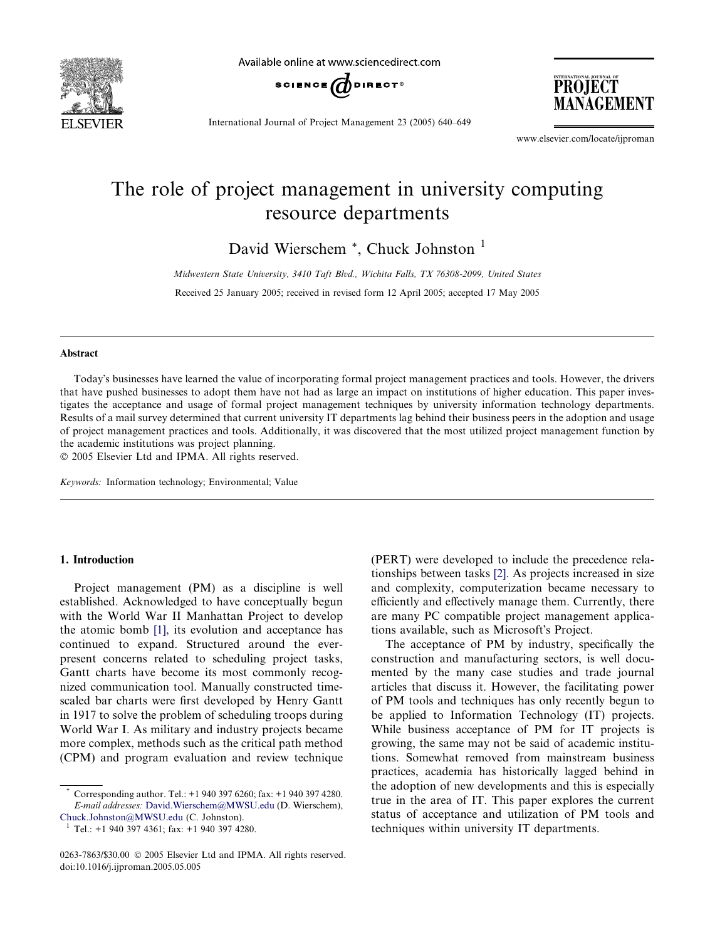

Available online at www.sciencedirect.com



PROJECT MANAGEMENT

International Journal of Project Management 23 (2005) 640–649

www.elsevier.com/locate/ijproman

# The role of project management in university computing resource departments

David Wierschem \*, Chuck Johnston<sup>1</sup>

Midwestern State University, 3410 Taft Blvd., Wichita Falls, TX 76308-2099, United States

Received 25 January 2005; received in revised form 12 April 2005; accepted 17 May 2005

#### Abstract

Todays businesses have learned the value of incorporating formal project management practices and tools. However, the drivers that have pushed businesses to adopt them have not had as large an impact on institutions of higher education. This paper investigates the acceptance and usage of formal project management techniques by university information technology departments. Results of a mail survey determined that current university IT departments lag behind their business peers in the adoption and usage of project management practices and tools. Additionally, it was discovered that the most utilized project management function by the academic institutions was project planning.

2005 Elsevier Ltd and IPMA. All rights reserved.

Keywords: Information technology; Environmental; Value

## 1. Introduction

Project management (PM) as a discipline is well established. Acknowledged to have conceptually begun with the World War II Manhattan Project to develop the atomic bomb [\[1\]](#page--1-0), its evolution and acceptance has continued to expand. Structured around the everpresent concerns related to scheduling project tasks, Gantt charts have become its most commonly recognized communication tool. Manually constructed timescaled bar charts were first developed by Henry Gantt in 1917 to solve the problem of scheduling troops during World War I. As military and industry projects became more complex, methods such as the critical path method (CPM) and program evaluation and review technique (PERT) were developed to include the precedence relationships between tasks [\[2\]](#page--1-0). As projects increased in size and complexity, computerization became necessary to efficiently and effectively manage them. Currently, there are many PC compatible project management applications available, such as Microsoft's Project.

The acceptance of PM by industry, specifically the construction and manufacturing sectors, is well documented by the many case studies and trade journal articles that discuss it. However, the facilitating power of PM tools and techniques has only recently begun to be applied to Information Technology (IT) projects. While business acceptance of PM for IT projects is growing, the same may not be said of academic institutions. Somewhat removed from mainstream business practices, academia has historically lagged behind in the adoption of new developments and this is especially true in the area of IT. This paper explores the current status of acceptance and utilization of PM tools and techniques within university IT departments.

Corresponding author. Tel.: +1 940 397 6260; fax: +1 940 397 4280. E-mail addresses: [David.Wierschem@MWSU.edu](mailto:David.Wierschem@MWSU.edu) (D. Wierschem),

[Chuck.Johnston@MWSU.edu](mailto:Chuck.Johnston@MWSU.edu) (C. Johnston). <sup>1</sup> Tel.: +1 940 397 4361; fax: +1 940 397 4280.

<sup>0263-7863/\$30.00</sup>  $\odot$  2005 Elsevier Ltd and IPMA. All rights reserved. doi:10.1016/j.ijproman.2005.05.005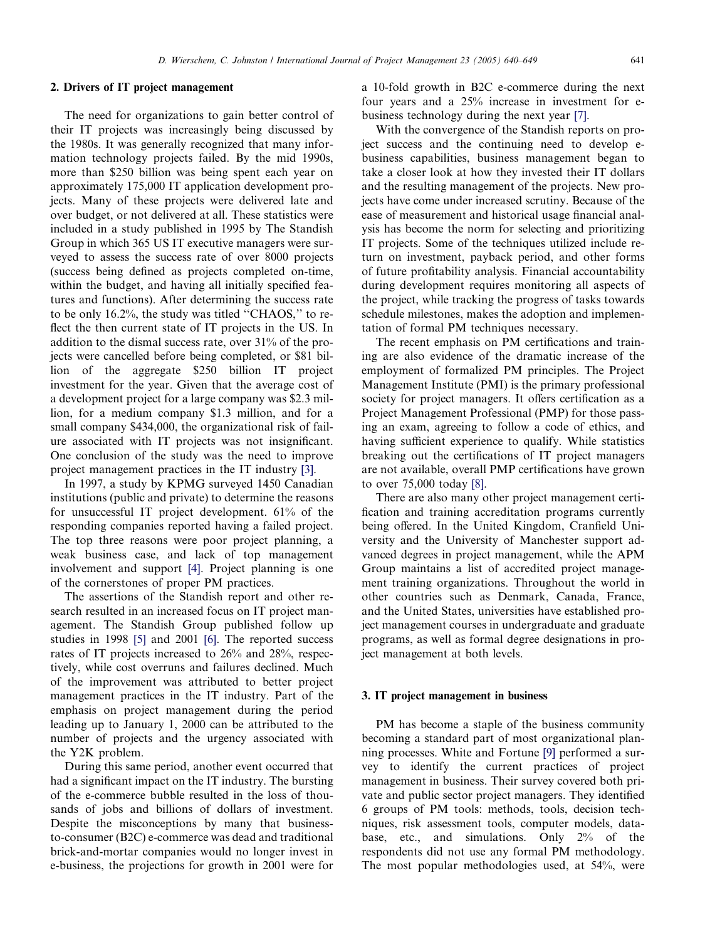### 2. Drivers of IT project management

The need for organizations to gain better control of their IT projects was increasingly being discussed by the 1980s. It was generally recognized that many information technology projects failed. By the mid 1990s, more than \$250 billion was being spent each year on approximately 175,000 IT application development projects. Many of these projects were delivered late and over budget, or not delivered at all. These statistics were included in a study published in 1995 by The Standish Group in which 365 US IT executive managers were surveyed to assess the success rate of over 8000 projects (success being defined as projects completed on-time, within the budget, and having all initially specified features and functions). After determining the success rate to be only 16.2%, the study was titled ''CHAOS,'' to reflect the then current state of IT projects in the US. In addition to the dismal success rate, over 31% of the projects were cancelled before being completed, or \$81 billion of the aggregate \$250 billion IT project investment for the year. Given that the average cost of a development project for a large company was \$2.3 million, for a medium company \$1.3 million, and for a small company \$434,000, the organizational risk of failure associated with IT projects was not insignificant. One conclusion of the study was the need to improve project management practices in the IT industry [\[3\].](#page--1-0)

In 1997, a study by KPMG surveyed 1450 Canadian institutions (public and private) to determine the reasons for unsuccessful IT project development. 61% of the responding companies reported having a failed project. The top three reasons were poor project planning, a weak business case, and lack of top management involvement and support [\[4\]](#page--1-0). Project planning is one of the cornerstones of proper PM practices.

The assertions of the Standish report and other research resulted in an increased focus on IT project management. The Standish Group published follow up studies in 1998 [\[5\]](#page--1-0) and 2001 [\[6\].](#page--1-0) The reported success rates of IT projects increased to 26% and 28%, respectively, while cost overruns and failures declined. Much of the improvement was attributed to better project management practices in the IT industry. Part of the emphasis on project management during the period leading up to January 1, 2000 can be attributed to the number of projects and the urgency associated with the Y2K problem.

During this same period, another event occurred that had a significant impact on the IT industry. The bursting of the e-commerce bubble resulted in the loss of thousands of jobs and billions of dollars of investment. Despite the misconceptions by many that businessto-consumer (B2C) e-commerce was dead and traditional brick-and-mortar companies would no longer invest in e-business, the projections for growth in 2001 were for a 10-fold growth in B2C e-commerce during the next four years and a 25% increase in investment for ebusiness technology during the next year [\[7\]](#page--1-0).

With the convergence of the Standish reports on project success and the continuing need to develop ebusiness capabilities, business management began to take a closer look at how they invested their IT dollars and the resulting management of the projects. New projects have come under increased scrutiny. Because of the ease of measurement and historical usage financial analysis has become the norm for selecting and prioritizing IT projects. Some of the techniques utilized include return on investment, payback period, and other forms of future profitability analysis. Financial accountability during development requires monitoring all aspects of the project, while tracking the progress of tasks towards schedule milestones, makes the adoption and implementation of formal PM techniques necessary.

The recent emphasis on PM certifications and training are also evidence of the dramatic increase of the employment of formalized PM principles. The Project Management Institute (PMI) is the primary professional society for project managers. It offers certification as a Project Management Professional (PMP) for those passing an exam, agreeing to follow a code of ethics, and having sufficient experience to qualify. While statistics breaking out the certifications of IT project managers are not available, overall PMP certifications have grown to over 75,000 today [\[8\].](#page--1-0)

There are also many other project management certification and training accreditation programs currently being offered. In the United Kingdom, Cranfield University and the University of Manchester support advanced degrees in project management, while the APM Group maintains a list of accredited project management training organizations. Throughout the world in other countries such as Denmark, Canada, France, and the United States, universities have established project management courses in undergraduate and graduate programs, as well as formal degree designations in project management at both levels.

### 3. IT project management in business

PM has become a staple of the business community becoming a standard part of most organizational planning processes. White and Fortune [\[9\]](#page--1-0) performed a survey to identify the current practices of project management in business. Their survey covered both private and public sector project managers. They identified 6 groups of PM tools: methods, tools, decision techniques, risk assessment tools, computer models, database, etc., and simulations. Only 2% of the respondents did not use any formal PM methodology. The most popular methodologies used, at 54%, were